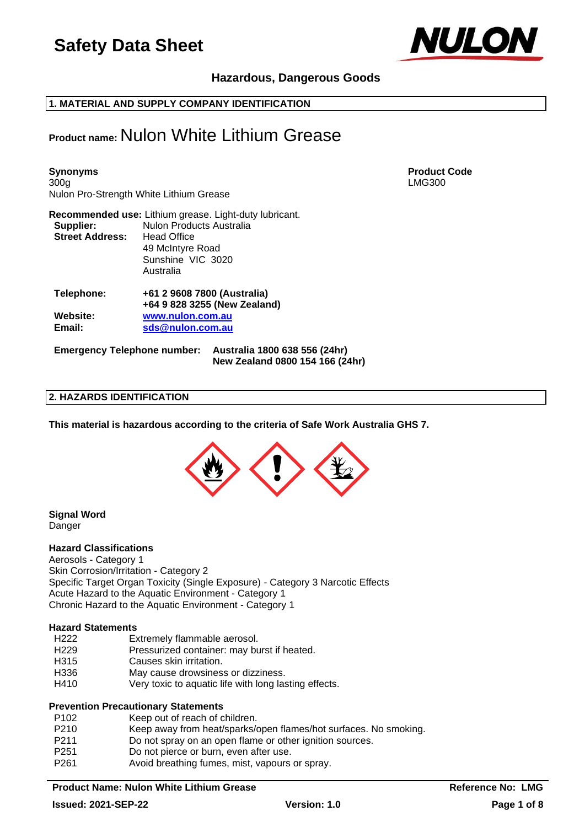

## **Hazardous, Dangerous Goods**

**1. MATERIAL AND SUPPLY COMPANY IDENTIFICATION**

## **Product name:** Nulon White Lithium Grease

**Synonyms Product Code** 300g LMG300 Nulon Pro-Strength White Lithium Grease

| Supplier:<br><b>Street Address:</b> | Recommended use: Lithium grease. Light-duty lubricant.<br><b>Nulon Products Australia</b><br><b>Head Office</b><br>49 McIntyre Road<br>Sunshine VIC 3020<br>Australia |
|-------------------------------------|-----------------------------------------------------------------------------------------------------------------------------------------------------------------------|
| Telephone:                          | +61 2 9608 7800 (Australia)<br>+64 9 828 3255 (New Zealand)                                                                                                           |
| Website:<br>Email:                  | www.nulon.com.au<br>sds@nulon.com.au                                                                                                                                  |

**Emergency Telephone number: Australia 1800 638 556 (24hr) New Zealand 0800 154 166 (24hr)**

## **2. HAZARDS IDENTIFICATION**

**This material is hazardous according to the criteria of Safe Work Australia GHS 7.**



#### **Signal Word** Danger

#### **Hazard Classifications**

Aerosols - Category 1 Skin Corrosion/Irritation - Category 2 Specific Target Organ Toxicity (Single Exposure) - Category 3 Narcotic Effects Acute Hazard to the Aquatic Environment - Category 1 Chronic Hazard to the Aquatic Environment - Category 1

#### **Hazard Statements**

- H222 Extremely flammable aerosol.<br>H229 Pressurized container: may bu
- Pressurized container: may burst if heated.
- H315 Causes skin irritation.
- H336 May cause drowsiness or dizziness.
- H410 Very toxic to aquatic life with long lasting effects.

#### **Prevention Precautionary Statements**

| P <sub>102</sub> | Keep out of reach of children.                                   |
|------------------|------------------------------------------------------------------|
| P210             | Keep away from heat/sparks/open flames/hot surfaces. No smoking. |
| P <sub>211</sub> | Do not spray on an open flame or other ignition sources.         |
| P <sub>251</sub> | Do not pierce or burn, even after use.                           |
| P <sub>261</sub> | Avoid breathing fumes, mist, vapours or spray.                   |

#### **Product Name: Nulon White Lithium Grease <b>Reference No: LMG Reference No: LMG**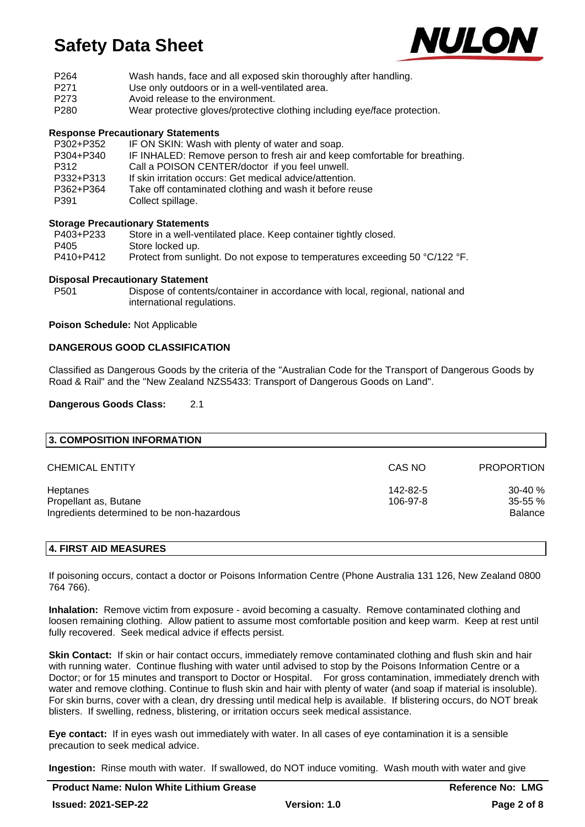

| P <sub>264</sub> | Wash hands, face and all exposed skin thoroughly after handling. |
|------------------|------------------------------------------------------------------|
| <b>P</b> 271     | <u>Llse only outdoors or in a well-ventilated area</u>           |

- Use only outdoors or in a well-ventilated area. P273 Avoid release to the environment.
- P280 Wear protective gloves/protective clothing including eye/face protection.

## **Response Precautionary Statements**

| P302+P352 | IF ON SKIN: Wash with plenty of water and soap.                            |
|-----------|----------------------------------------------------------------------------|
| P304+P340 | IF INHALED: Remove person to fresh air and keep comfortable for breathing. |
| P312      | Call a POISON CENTER/doctor if you feel unwell.                            |
| P332+P313 | If skin irritation occurs: Get medical advice/attention.                   |
| P362+P364 | Take off contaminated clothing and wash it before reuse                    |
| P391      | Collect spillage.                                                          |
|           |                                                                            |

## **Storage Precautionary Statements**

| P403+P233 | Store in a well-ventilated place. Keep container tightly closed.             |
|-----------|------------------------------------------------------------------------------|
| P405      | Store locked up.                                                             |
| P410+P412 | Protect from sunlight. Do not expose to temperatures exceeding 50 °C/122 °F. |

#### **Disposal Precautionary Statement**

P501 Dispose of contents/container in accordance with local, regional, national and international regulations.

#### **Poison Schedule:** Not Applicable

## **DANGEROUS GOOD CLASSIFICATION**

Classified as Dangerous Goods by the criteria of the "Australian Code for the Transport of Dangerous Goods by Road & Rail" and the "New Zealand NZS5433: Transport of Dangerous Goods on Land".

#### **Dangerous Goods Class:** 2.1

| 3. COMPOSITION INFORMATION                 |          |                   |
|--------------------------------------------|----------|-------------------|
| <b>CHEMICAL ENTITY</b>                     | CAS NO   | <b>PROPORTION</b> |
| Heptanes                                   | 142-82-5 | $30-40%$          |
| Propellant as, Butane                      | 106-97-8 | $35 - 55 \%$      |
| Ingredients determined to be non-hazardous |          | <b>Balance</b>    |

## **4. FIRST AID MEASURES**

If poisoning occurs, contact a doctor or Poisons Information Centre (Phone Australia 131 126, New Zealand 0800 764 766).

**Inhalation:** Remove victim from exposure - avoid becoming a casualty. Remove contaminated clothing and loosen remaining clothing. Allow patient to assume most comfortable position and keep warm. Keep at rest until fully recovered. Seek medical advice if effects persist.

**Skin Contact:** If skin or hair contact occurs, immediately remove contaminated clothing and flush skin and hair with running water. Continue flushing with water until advised to stop by the Poisons Information Centre or a Doctor; or for 15 minutes and transport to Doctor or Hospital. For gross contamination, immediately drench with water and remove clothing. Continue to flush skin and hair with plenty of water (and soap if material is insoluble). For skin burns, cover with a clean, dry dressing until medical help is available. If blistering occurs, do NOT break blisters. If swelling, redness, blistering, or irritation occurs seek medical assistance.

**Eye contact:** If in eyes wash out immediately with water. In all cases of eye contamination it is a sensible precaution to seek medical advice.

**Ingestion:** Rinse mouth with water. If swallowed, do NOT induce vomiting. Wash mouth with water and give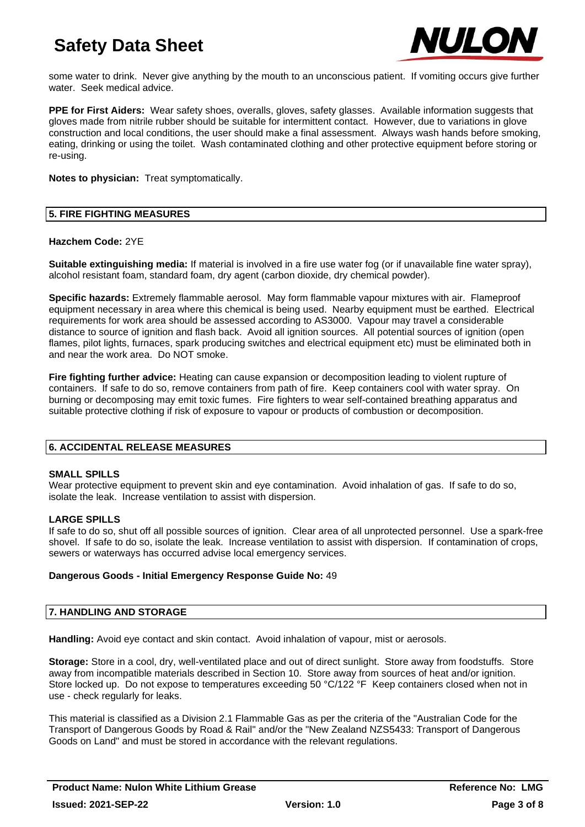

some water to drink. Never give anything by the mouth to an unconscious patient. If vomiting occurs give further water. Seek medical advice.

**PPE for First Aiders:** Wear safety shoes, overalls, gloves, safety glasses. Available information suggests that gloves made from nitrile rubber should be suitable for intermittent contact. However, due to variations in glove construction and local conditions, the user should make a final assessment. Always wash hands before smoking, eating, drinking or using the toilet. Wash contaminated clothing and other protective equipment before storing or re-using.

**Notes to physician:** Treat symptomatically.

## **5. FIRE FIGHTING MEASURES**

#### **Hazchem Code:** 2YE

**Suitable extinguishing media:** If material is involved in a fire use water fog (or if unavailable fine water spray), alcohol resistant foam, standard foam, dry agent (carbon dioxide, dry chemical powder).

**Specific hazards:** Extremely flammable aerosol. May form flammable vapour mixtures with air. Flameproof equipment necessary in area where this chemical is being used. Nearby equipment must be earthed. Electrical requirements for work area should be assessed according to AS3000. Vapour may travel a considerable distance to source of ignition and flash back. Avoid all ignition sources. All potential sources of ignition (open flames, pilot lights, furnaces, spark producing switches and electrical equipment etc) must be eliminated both in and near the work area. Do NOT smoke.

**Fire fighting further advice:** Heating can cause expansion or decomposition leading to violent rupture of containers. If safe to do so, remove containers from path of fire. Keep containers cool with water spray. On burning or decomposing may emit toxic fumes. Fire fighters to wear self-contained breathing apparatus and suitable protective clothing if risk of exposure to vapour or products of combustion or decomposition.

## **6. ACCIDENTAL RELEASE MEASURES**

#### **SMALL SPILLS**

Wear protective equipment to prevent skin and eye contamination. Avoid inhalation of gas. If safe to do so, isolate the leak. Increase ventilation to assist with dispersion.

#### **LARGE SPILLS**

If safe to do so, shut off all possible sources of ignition. Clear area of all unprotected personnel. Use a spark-free shovel. If safe to do so, isolate the leak. Increase ventilation to assist with dispersion. If contamination of crops, sewers or waterways has occurred advise local emergency services.

#### **Dangerous Goods - Initial Emergency Response Guide No:** 49

#### **7. HANDLING AND STORAGE**

**Handling:** Avoid eye contact and skin contact. Avoid inhalation of vapour, mist or aerosols.

**Storage:** Store in a cool, dry, well-ventilated place and out of direct sunlight. Store away from foodstuffs. Store away from incompatible materials described in Section 10. Store away from sources of heat and/or ignition. Store locked up. Do not expose to temperatures exceeding 50 °C/122 °F Keep containers closed when not in use - check regularly for leaks.

This material is classified as a Division 2.1 Flammable Gas as per the criteria of the "Australian Code for the Transport of Dangerous Goods by Road & Rail" and/or the "New Zealand NZS5433: Transport of Dangerous Goods on Land" and must be stored in accordance with the relevant regulations.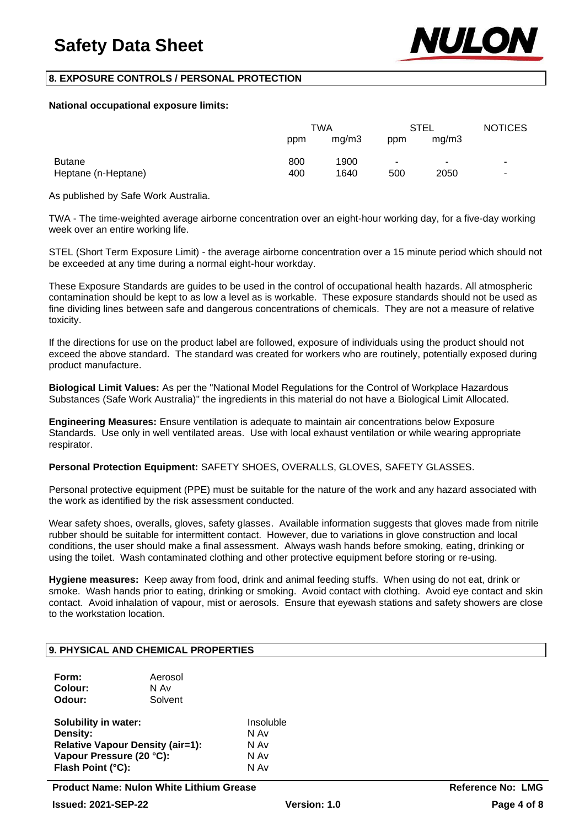

## **8. EXPOSURE CONTROLS / PERSONAL PROTECTION**

#### **National occupational exposure limits:**

|                     | TWA |       | STEL |       | <b>NOTICES</b> |
|---------------------|-----|-------|------|-------|----------------|
|                     | ppm | mq/m3 | ppm  | mq/m3 |                |
| <b>Butane</b>       | 800 | 1900  | ۰    | ۰.    |                |
| Heptane (n-Heptane) | 400 | 1640  | 500  | 2050  |                |

As published by Safe Work Australia.

TWA - The time-weighted average airborne concentration over an eight-hour working day, for a five-day working week over an entire working life.

STEL (Short Term Exposure Limit) - the average airborne concentration over a 15 minute period which should not be exceeded at any time during a normal eight-hour workday.

These Exposure Standards are guides to be used in the control of occupational health hazards. All atmospheric contamination should be kept to as low a level as is workable. These exposure standards should not be used as fine dividing lines between safe and dangerous concentrations of chemicals. They are not a measure of relative toxicity.

If the directions for use on the product label are followed, exposure of individuals using the product should not exceed the above standard. The standard was created for workers who are routinely, potentially exposed during product manufacture.

**Biological Limit Values:** As per the "National Model Regulations for the Control of Workplace Hazardous Substances (Safe Work Australia)" the ingredients in this material do not have a Biological Limit Allocated.

**Engineering Measures:** Ensure ventilation is adequate to maintain air concentrations below Exposure Standards. Use only in well ventilated areas. Use with local exhaust ventilation or while wearing appropriate respirator.

**Personal Protection Equipment:** SAFETY SHOES, OVERALLS, GLOVES, SAFETY GLASSES.

Personal protective equipment (PPE) must be suitable for the nature of the work and any hazard associated with the work as identified by the risk assessment conducted.

Wear safety shoes, overalls, gloves, safety glasses. Available information suggests that gloves made from nitrile rubber should be suitable for intermittent contact. However, due to variations in glove construction and local conditions, the user should make a final assessment. Always wash hands before smoking, eating, drinking or using the toilet. Wash contaminated clothing and other protective equipment before storing or re-using.

**Hygiene measures:** Keep away from food, drink and animal feeding stuffs. When using do not eat, drink or smoke. Wash hands prior to eating, drinking or smoking. Avoid contact with clothing. Avoid eye contact and skin contact. Avoid inhalation of vapour, mist or aerosols. Ensure that eyewash stations and safety showers are close to the workstation location.

## **9. PHYSICAL AND CHEMICAL PROPERTIES**

| Form:   | Aerosol |
|---------|---------|
| Colour: | N Av    |
| Odour:  | Solvent |
|         |         |

**Solubility in water:** Insoluble **Density:** N Av **Relative Vapour Density (air=1):** N Av **Vapour Pressure (20 °C):** N Av<br> **Flash Point (°C):** N Av **Flash Point (°C):**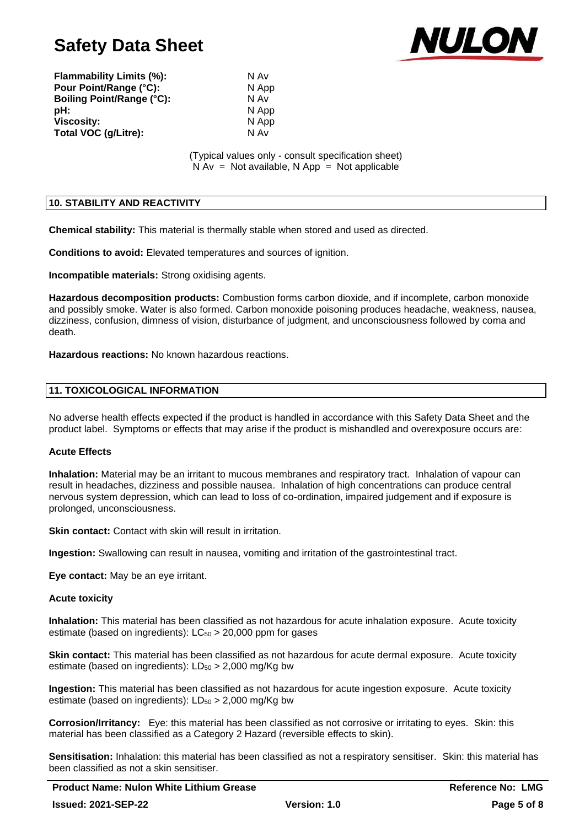

**Flammability Limits (%):** N Av **Pour Point/Range (°C):** N App **Boiling Point/Range (°C):** N Av **pH:** N App **Viscosity:** N App **Total VOC (g/Litre):** N Av

(Typical values only - consult specification sheet)  $N Av = Not available, N App = Not applicable$ 

## **10. STABILITY AND REACTIVITY**

**Chemical stability:** This material is thermally stable when stored and used as directed.

**Conditions to avoid:** Elevated temperatures and sources of ignition.

**Incompatible materials:** Strong oxidising agents.

**Hazardous decomposition products:** Combustion forms carbon dioxide, and if incomplete, carbon monoxide and possibly smoke. Water is also formed. Carbon monoxide poisoning produces headache, weakness, nausea, dizziness, confusion, dimness of vision, disturbance of judgment, and unconsciousness followed by coma and death.

**Hazardous reactions:** No known hazardous reactions.

#### **11. TOXICOLOGICAL INFORMATION**

No adverse health effects expected if the product is handled in accordance with this Safety Data Sheet and the product label. Symptoms or effects that may arise if the product is mishandled and overexposure occurs are:

## **Acute Effects**

**Inhalation:** Material may be an irritant to mucous membranes and respiratory tract. Inhalation of vapour can result in headaches, dizziness and possible nausea. Inhalation of high concentrations can produce central nervous system depression, which can lead to loss of co-ordination, impaired judgement and if exposure is prolonged, unconsciousness.

**Skin contact:** Contact with skin will result in irritation.

**Ingestion:** Swallowing can result in nausea, vomiting and irritation of the gastrointestinal tract.

**Eye contact:** May be an eye irritant.

#### **Acute toxicity**

**Inhalation:** This material has been classified as not hazardous for acute inhalation exposure. Acute toxicity estimate (based on ingredients):  $LC_{50} > 20,000$  ppm for gases

**Skin contact:** This material has been classified as not hazardous for acute dermal exposure. Acute toxicity estimate (based on ingredients):  $LD_{50} > 2,000$  mg/Kg bw

**Ingestion:** This material has been classified as not hazardous for acute ingestion exposure. Acute toxicity estimate (based on ingredients):  $LD_{50} > 2,000$  mg/Kg bw

**Corrosion/Irritancy:** Eye: this material has been classified as not corrosive or irritating to eyes. Skin: this material has been classified as a Category 2 Hazard (reversible effects to skin).

**Sensitisation:** Inhalation: this material has been classified as not a respiratory sensitiser. Skin: this material has been classified as not a skin sensitiser.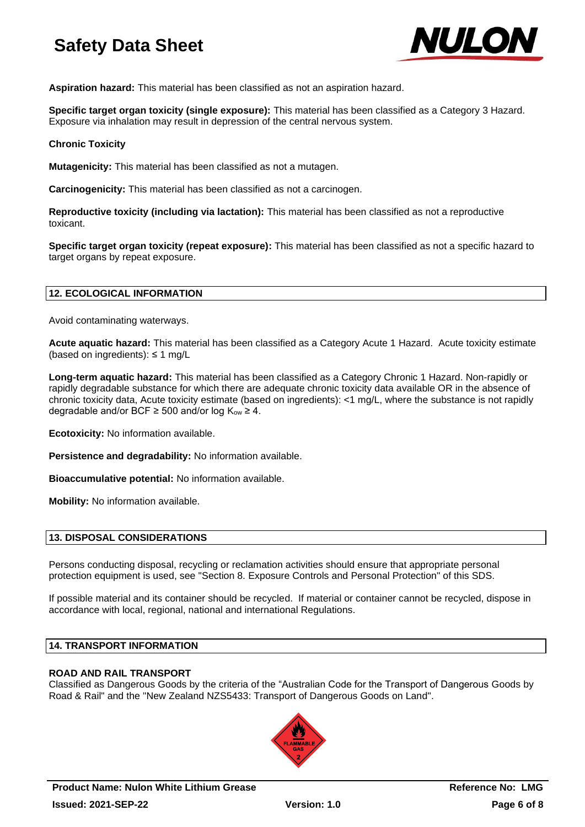

**Aspiration hazard:** This material has been classified as not an aspiration hazard.

**Specific target organ toxicity (single exposure):** This material has been classified as a Category 3 Hazard. Exposure via inhalation may result in depression of the central nervous system.

### **Chronic Toxicity**

**Mutagenicity:** This material has been classified as not a mutagen.

**Carcinogenicity:** This material has been classified as not a carcinogen.

**Reproductive toxicity (including via lactation):** This material has been classified as not a reproductive toxicant.

**Specific target organ toxicity (repeat exposure):** This material has been classified as not a specific hazard to target organs by repeat exposure.

## **12. ECOLOGICAL INFORMATION**

Avoid contaminating waterways.

**Acute aquatic hazard:** This material has been classified as a Category Acute 1 Hazard. Acute toxicity estimate (based on ingredients): ≤ 1 mg/L

**Long-term aquatic hazard:** This material has been classified as a Category Chronic 1 Hazard. Non-rapidly or rapidly degradable substance for which there are adequate chronic toxicity data available OR in the absence of chronic toxicity data, Acute toxicity estimate (based on ingredients): <1 mg/L, where the substance is not rapidly degradable and/or BCF  $\geq$  500 and/or log  $K_{ow} \geq 4$ .

**Ecotoxicity:** No information available.

**Persistence and degradability:** No information available.

**Bioaccumulative potential:** No information available.

**Mobility:** No information available.

## **13. DISPOSAL CONSIDERATIONS**

Persons conducting disposal, recycling or reclamation activities should ensure that appropriate personal protection equipment is used, see "Section 8. Exposure Controls and Personal Protection" of this SDS.

If possible material and its container should be recycled. If material or container cannot be recycled, dispose in accordance with local, regional, national and international Regulations.

#### **14. TRANSPORT INFORMATION**

## **ROAD AND RAIL TRANSPORT**

Classified as Dangerous Goods by the criteria of the "Australian Code for the Transport of Dangerous Goods by Road & Rail" and the "New Zealand NZS5433: Transport of Dangerous Goods on Land".

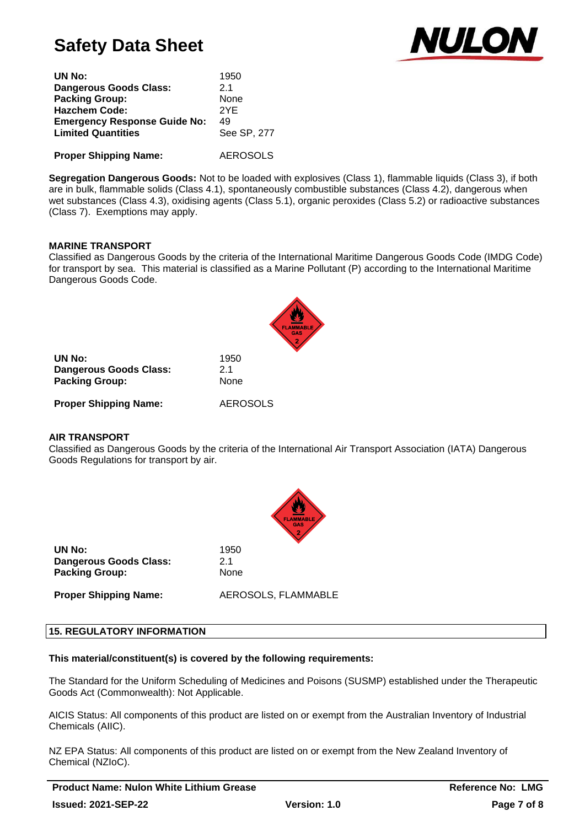

| UN No:                              | 1950            |
|-------------------------------------|-----------------|
| <b>Dangerous Goods Class:</b>       | 21              |
| <b>Packing Group:</b>               | None            |
| <b>Hazchem Code:</b>                | 2YF             |
| <b>Emergency Response Guide No:</b> | 49              |
| <b>Limited Quantities</b>           | See SP, 277     |
|                                     |                 |
| <b>Proper Shipping Name:</b>        | <b>AEROSOLS</b> |

**Segregation Dangerous Goods:** Not to be loaded with explosives (Class 1), flammable liquids (Class 3), if both are in bulk, flammable solids (Class 4.1), spontaneously combustible substances (Class 4.2), dangerous when wet substances (Class 4.3), oxidising agents (Class 5.1), organic peroxides (Class 5.2) or radioactive substances (Class 7). Exemptions may apply.

## **MARINE TRANSPORT**

Classified as Dangerous Goods by the criteria of the International Maritime Dangerous Goods Code (IMDG Code) for transport by sea. This material is classified as a Marine Pollutant (P) according to the International Maritime Dangerous Goods Code.

| UN No:<br><b>Dangerous Goods Class:</b><br><b>Packing Group:</b> | 1950<br>21<br>None |
|------------------------------------------------------------------|--------------------|
| <b>Proper Shipping Name:</b>                                     | <b>AEROSOLS</b>    |

#### **AIR TRANSPORT**

Classified as Dangerous Goods by the criteria of the International Air Transport Association (IATA) Dangerous Goods Regulations for transport by air.



**UN No:** 1950 **Dangerous Goods Class:** 2.1 Packing Group: None

**Proper Shipping Name:** AEROSOLS, FLAMMABLE

#### **15. REGULATORY INFORMATION**

## **This material/constituent(s) is covered by the following requirements:**

The Standard for the Uniform Scheduling of Medicines and Poisons (SUSMP) established under the Therapeutic Goods Act (Commonwealth): Not Applicable.

AICIS Status: All components of this product are listed on or exempt from the Australian Inventory of Industrial Chemicals (AIIC).

NZ EPA Status: All components of this product are listed on or exempt from the New Zealand Inventory of Chemical (NZIoC).